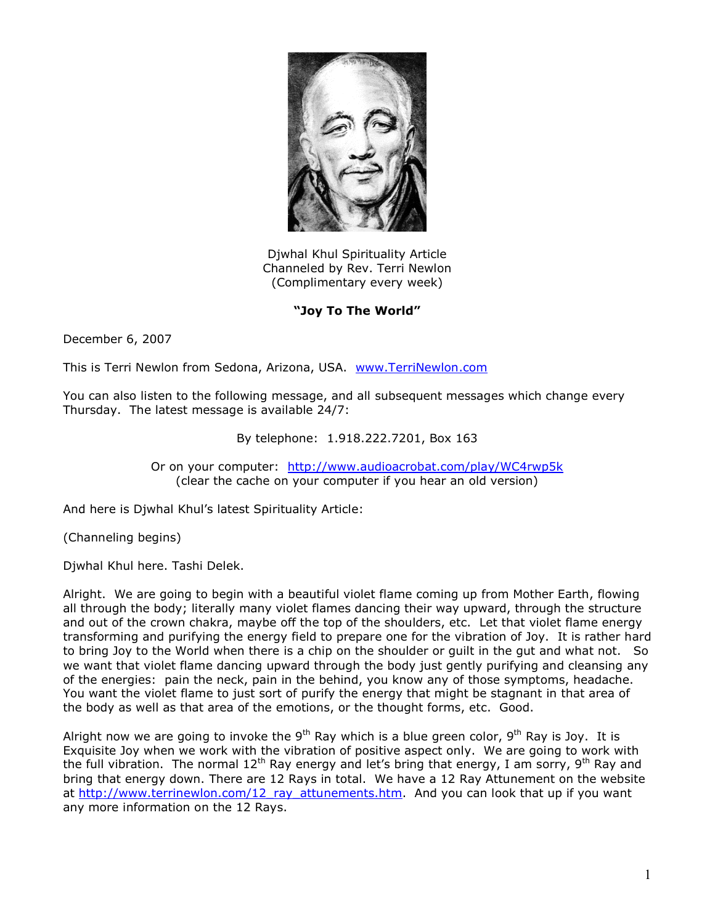

Djwhal Khul Spirituality Article Channeled by Rev. Terri Newlon (Complimentary every week)

## **"Joy To The World"**

December 6, 2007

This is Terri Newlon from Sedona, Arizona, USA. [www.TerriNewlon.com](http://www.terrinewlon.com/)

You can also listen to the following message, and all subsequent messages which change every Thursday. The latest message is available 24/7:

## By telephone: 1.918.222.7201, Box 163

Or on your computer: <http://www.audioacrobat.com/play/WC4rwp5k> (clear the cache on your computer if you hear an old version)

And here is Djwhal Khul's latest Spirituality Article:

(Channeling begins)

Djwhal Khul here. Tashi Delek.

Alright. We are going to begin with a beautiful violet flame coming up from Mother Earth, flowing all through the body; literally many violet flames dancing their way upward, through the structure and out of the crown chakra, maybe off the top of the shoulders, etc. Let that violet flame energy transforming and purifying the energy field to prepare one for the vibration of Joy. It is rather hard to bring Joy to the World when there is a chip on the shoulder or guilt in the gut and what not. So we want that violet flame dancing upward through the body just gently purifying and cleansing any of the energies: pain the neck, pain in the behind, you know any of those symptoms, headache. You want the violet flame to just sort of purify the energy that might be stagnant in that area of the body as well as that area of the emotions, or the thought forms, etc. Good.

Alright now we are going to invoke the  $9<sup>th</sup>$  Ray which is a blue green color,  $9<sup>th</sup>$  Ray is Joy. It is Exquisite Joy when we work with the vibration of positive aspect only. We are going to work with the full vibration. The normal 12<sup>th</sup> Ray energy and let's bring that energy, I am sorry, 9<sup>th</sup> Ray and bring that energy down. There are 12 Rays in total. We have a 12 Ray Attunement on the website at [http://www.terrinewlon.com/12\\_ray\\_attunements.htm](http://www.terrinewlon.com/12_ray_attunements.htm). And you can look that up if you want any more information on the 12 Rays.